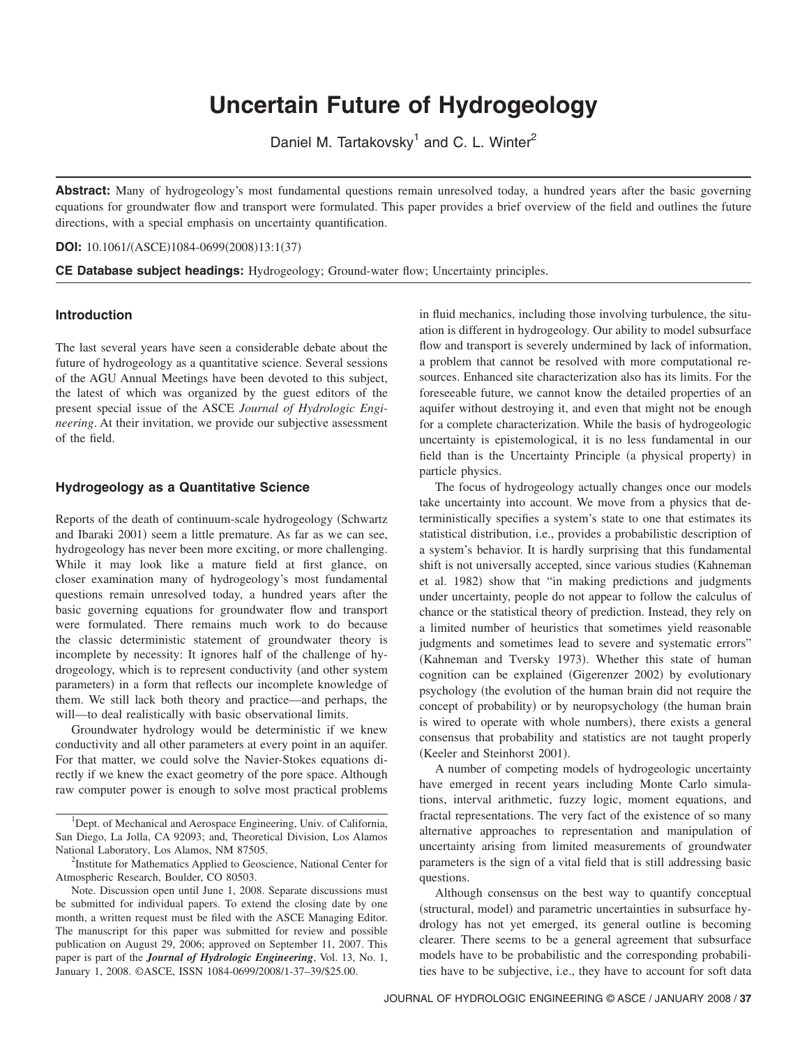## **Uncertain Future of Hydrogeology**

Daniel M. Tartakovsky<sup>1</sup> and C. L. Winter<sup>2</sup>

**Abstract:** Many of hydrogeology's most fundamental questions remain unresolved today, a hundred years after the basic governing equations for groundwater flow and transport were formulated. This paper provides a brief overview of the field and outlines the future directions, with a special emphasis on uncertainty quantification.

**DOI:** 10.1061/(ASCE)1084-0699(2008)13:1(37)

**CE Database subject headings:** Hydrogeology; Ground-water flow; Uncertainty principles.

## **Introduction**

The last several years have seen a considerable debate about the future of hydrogeology as a quantitative science. Several sessions of the AGU Annual Meetings have been devoted to this subject, the latest of which was organized by the guest editors of the present special issue of the ASCE *Journal of Hydrologic Engineering*. At their invitation, we provide our subjective assessment of the field.

## **Hydrogeology as a Quantitative Science**

Reports of the death of continuum-scale hydrogeology (Schwartz) and Ibaraki 2001) seem a little premature. As far as we can see, hydrogeology has never been more exciting, or more challenging. While it may look like a mature field at first glance, on closer examination many of hydrogeology's most fundamental questions remain unresolved today, a hundred years after the basic governing equations for groundwater flow and transport were formulated. There remains much work to do because the classic deterministic statement of groundwater theory is incomplete by necessity: It ignores half of the challenge of hydrogeology, which is to represent conductivity (and other system parameters) in a form that reflects our incomplete knowledge of them. We still lack both theory and practice—and perhaps, the will—to deal realistically with basic observational limits.

Groundwater hydrology would be deterministic if we knew conductivity and all other parameters at every point in an aquifer. For that matter, we could solve the Navier-Stokes equations directly if we knew the exact geometry of the pore space. Although raw computer power is enough to solve most practical problems

<sup>1</sup>Dept. of Mechanical and Aerospace Engineering, Univ. of California, San Diego, La Jolla, CA 92093; and, Theoretical Division, Los Alamos National Laboratory, Los Alamos, NM 87505. <sup>2</sup>

<sup>2</sup>Institute for Mathematics Applied to Geoscience, National Center for Atmospheric Research, Boulder, CO 80503.

Note. Discussion open until June 1, 2008. Separate discussions must be submitted for individual papers. To extend the closing date by one month, a written request must be filed with the ASCE Managing Editor. The manuscript for this paper was submitted for review and possible publication on August 29, 2006; approved on September 11, 2007. This paper is part of the *Journal of Hydrologic Engineering*, Vol. 13, No. 1, January 1, 2008. ©ASCE, ISSN 1084-0699/2008/1-37–39/\$25.00.

in fluid mechanics, including those involving turbulence, the situation is different in hydrogeology. Our ability to model subsurface flow and transport is severely undermined by lack of information, a problem that cannot be resolved with more computational resources. Enhanced site characterization also has its limits. For the foreseeable future, we cannot know the detailed properties of an aquifer without destroying it, and even that might not be enough for a complete characterization. While the basis of hydrogeologic uncertainty is epistemological, it is no less fundamental in our field than is the Uncertainty Principle (a physical property) in particle physics.

The focus of hydrogeology actually changes once our models take uncertainty into account. We move from a physics that deterministically specifies a system's state to one that estimates its statistical distribution, i.e., provides a probabilistic description of a system's behavior. It is hardly surprising that this fundamental shift is not universally accepted, since various studies (Kahneman et al. 1982) show that "in making predictions and judgments under uncertainty, people do not appear to follow the calculus of chance or the statistical theory of prediction. Instead, they rely on a limited number of heuristics that sometimes yield reasonable judgments and sometimes lead to severe and systematic errors" (Kahneman and Tversky 1973). Whether this state of human cognition can be explained (Gigerenzer 2002) by evolutionary psychology (the evolution of the human brain did not require the concept of probability) or by neuropsychology (the human brain is wired to operate with whole numbers), there exists a general consensus that probability and statistics are not taught properly (Keeler and Steinhorst 2001).

A number of competing models of hydrogeologic uncertainty have emerged in recent years including Monte Carlo simulations, interval arithmetic, fuzzy logic, moment equations, and fractal representations. The very fact of the existence of so many alternative approaches to representation and manipulation of uncertainty arising from limited measurements of groundwater parameters is the sign of a vital field that is still addressing basic questions.

Although consensus on the best way to quantify conceptual (structural, model) and parametric uncertainties in subsurface hydrology has not yet emerged, its general outline is becoming clearer. There seems to be a general agreement that subsurface models have to be probabilistic and the corresponding probabilities have to be subjective, i.e., they have to account for soft data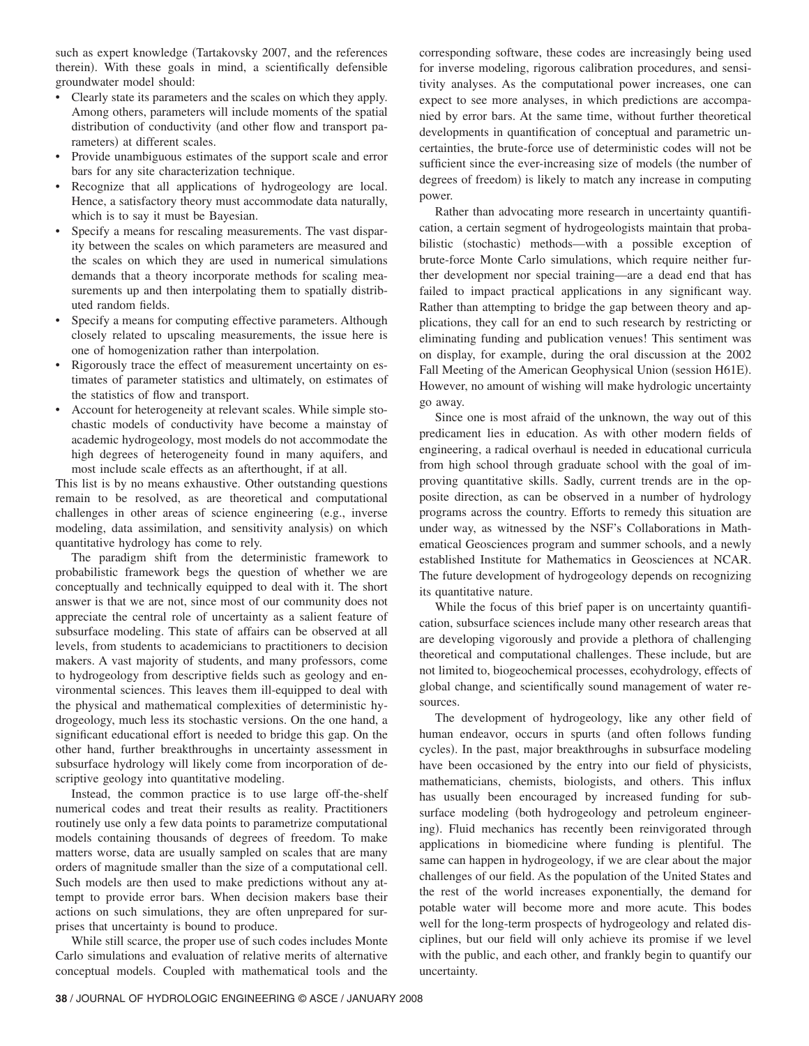such as expert knowledge (Tartakovsky 2007, and the references therein). With these goals in mind, a scientifically defensible groundwater model should:

- Clearly state its parameters and the scales on which they apply. Among others, parameters will include moments of the spatial distribution of conductivity (and other flow and transport parameters) at different scales.
- Provide unambiguous estimates of the support scale and error bars for any site characterization technique.
- Recognize that all applications of hydrogeology are local. Hence, a satisfactory theory must accommodate data naturally, which is to say it must be Bayesian.
- Specify a means for rescaling measurements. The vast disparity between the scales on which parameters are measured and the scales on which they are used in numerical simulations demands that a theory incorporate methods for scaling measurements up and then interpolating them to spatially distributed random fields.
- Specify a means for computing effective parameters. Although closely related to upscaling measurements, the issue here is one of homogenization rather than interpolation.
- Rigorously trace the effect of measurement uncertainty on estimates of parameter statistics and ultimately, on estimates of the statistics of flow and transport.
- Account for heterogeneity at relevant scales. While simple stochastic models of conductivity have become a mainstay of academic hydrogeology, most models do not accommodate the high degrees of heterogeneity found in many aquifers, and most include scale effects as an afterthought, if at all.

This list is by no means exhaustive. Other outstanding questions remain to be resolved, as are theoretical and computational challenges in other areas of science engineering (e.g., inverse modeling, data assimilation, and sensitivity analysis) on which quantitative hydrology has come to rely.

The paradigm shift from the deterministic framework to probabilistic framework begs the question of whether we are conceptually and technically equipped to deal with it. The short answer is that we are not, since most of our community does not appreciate the central role of uncertainty as a salient feature of subsurface modeling. This state of affairs can be observed at all levels, from students to academicians to practitioners to decision makers. A vast majority of students, and many professors, come to hydrogeology from descriptive fields such as geology and environmental sciences. This leaves them ill-equipped to deal with the physical and mathematical complexities of deterministic hydrogeology, much less its stochastic versions. On the one hand, a significant educational effort is needed to bridge this gap. On the other hand, further breakthroughs in uncertainty assessment in subsurface hydrology will likely come from incorporation of descriptive geology into quantitative modeling.

Instead, the common practice is to use large off-the-shelf numerical codes and treat their results as reality. Practitioners routinely use only a few data points to parametrize computational models containing thousands of degrees of freedom. To make matters worse, data are usually sampled on scales that are many orders of magnitude smaller than the size of a computational cell. Such models are then used to make predictions without any attempt to provide error bars. When decision makers base their actions on such simulations, they are often unprepared for surprises that uncertainty is bound to produce.

While still scarce, the proper use of such codes includes Monte Carlo simulations and evaluation of relative merits of alternative conceptual models. Coupled with mathematical tools and the corresponding software, these codes are increasingly being used for inverse modeling, rigorous calibration procedures, and sensitivity analyses. As the computational power increases, one can expect to see more analyses, in which predictions are accompanied by error bars. At the same time, without further theoretical developments in quantification of conceptual and parametric uncertainties, the brute-force use of deterministic codes will not be sufficient since the ever-increasing size of models (the number of degrees of freedom) is likely to match any increase in computing power.

Rather than advocating more research in uncertainty quantification, a certain segment of hydrogeologists maintain that probabilistic (stochastic) methods—with a possible exception of brute-force Monte Carlo simulations, which require neither further development nor special training—are a dead end that has failed to impact practical applications in any significant way. Rather than attempting to bridge the gap between theory and applications, they call for an end to such research by restricting or eliminating funding and publication venues! This sentiment was on display, for example, during the oral discussion at the 2002 Fall Meeting of the American Geophysical Union (session H61E). However, no amount of wishing will make hydrologic uncertainty go away.

Since one is most afraid of the unknown, the way out of this predicament lies in education. As with other modern fields of engineering, a radical overhaul is needed in educational curricula from high school through graduate school with the goal of improving quantitative skills. Sadly, current trends are in the opposite direction, as can be observed in a number of hydrology programs across the country. Efforts to remedy this situation are under way, as witnessed by the NSF's Collaborations in Mathematical Geosciences program and summer schools, and a newly established Institute for Mathematics in Geosciences at NCAR. The future development of hydrogeology depends on recognizing its quantitative nature.

While the focus of this brief paper is on uncertainty quantification, subsurface sciences include many other research areas that are developing vigorously and provide a plethora of challenging theoretical and computational challenges. These include, but are not limited to, biogeochemical processes, ecohydrology, effects of global change, and scientifically sound management of water resources.

The development of hydrogeology, like any other field of human endeavor, occurs in spurts (and often follows funding cycles). In the past, major breakthroughs in subsurface modeling have been occasioned by the entry into our field of physicists, mathematicians, chemists, biologists, and others. This influx has usually been encouraged by increased funding for subsurface modeling (both hydrogeology and petroleum engineering). Fluid mechanics has recently been reinvigorated through applications in biomedicine where funding is plentiful. The same can happen in hydrogeology, if we are clear about the major challenges of our field. As the population of the United States and the rest of the world increases exponentially, the demand for potable water will become more and more acute. This bodes well for the long-term prospects of hydrogeology and related disciplines, but our field will only achieve its promise if we level with the public, and each other, and frankly begin to quantify our uncertainty.